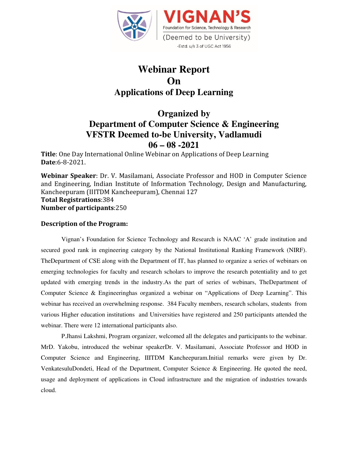

# **Webinar Report On Applications of Deep Learning**

## **Organized by Department of Computer Science & Engineering VFSTR Deemed to-be University, Vadlamudi 06 – 08 -2021**

**Title**: One Day International Online Webinar on Applications of Deep Learning **Date**:6-8-2021.

**Webinar Speaker**: Dr. V. Masilamani, Associate Professor and HOD in Computer Science and Engineering, Indian Institute of Information Technology, Design and Manufacturing, Kancheepuram (IIITDM Kancheepuram), Chennai 127 **Total Registrations**:384 **Number of participants**:250

#### **Description of the Program:**

Vignan's Foundation for Science Technology and Research is NAAC 'A' grade institution and secured good rank in engineering category by the National Institutional Ranking Framework (NIRF). TheDepartment of CSE along with the Department of IT, has planned to organize a series of webinars on emerging technologies for faculty and research scholars to improve the research potentiality and to get updated with emerging trends in the industry.As the part of series of webinars, TheDepartment of Computer Science & Engineeringhas organized a webinar on "Applications of Deep Learning". This webinar has received an overwhelming response. 384 Faculty members, research scholars, students from various Higher education institutions and Universities have registered and 250 participants attended the webinar. There were 12 international participants also.

P.Jhansi Lakshmi, Program organizer, welcomed all the delegates and participants to the webinar. MrD. Yakobu, introduced the webinar speakerDr. V. Masilamani, Associate Professor and HOD in Computer Science and Engineering, IIITDM Kancheepuram.Initial remarks were given by Dr. VenkatesuluDondeti, Head of the Department, Computer Science & Engineering. He quoted the need, usage and deployment of applications in Cloud infrastructure and the migration of industries towards cloud.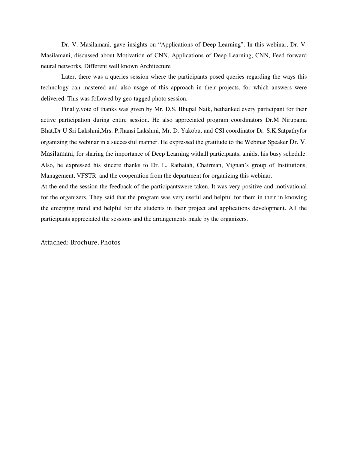Dr. V. Masilamani, gave insights on "Applications of Deep Learning". In this webinar, Dr. V. Masilamani, discussed about Motivation of CNN, Applications of Deep Learning, CNN, Feed forward neural networks, Different well known Architecture

Later, there was a queries session where the participants posed queries regarding the ways this technology can mastered and also usage of this approach in their projects, for which answers were delivered. This was followed by geo-tagged photo session.

Finally,vote of thanks was given by Mr. D.S. Bhupal Naik, hethanked every participant for their active participation during entire session. He also appreciated program coordinators Dr.M Nirupama Bhat,Dr U Sri Lakshmi,Mrs. P.Jhansi Lakshmi, Mr. D. Yakobu, and CSI coordinator Dr. S.K.Satpathyfor organizing the webinar in a successful manner. He expressed the gratitude to the Webinar Speaker Dr. V. Masilamani, for sharing the importance of Deep Learning withall participants, amidst his busy schedule. Also, he expressed his sincere thanks to Dr. L. Rathaiah, Chairman, Vignan's group of Institutions, Management, VFSTR and the cooperation from the department for organizing this webinar.

At the end the session the feedback of the participantswere taken. It was very positive and motivational for the organizers. They said that the program was very useful and helpful for them in their in knowing the emerging trend and helpful for the students in their project and applications development. All the participants appreciated the sessions and the arrangements made by the organizers.

Attached: Brochure, Photos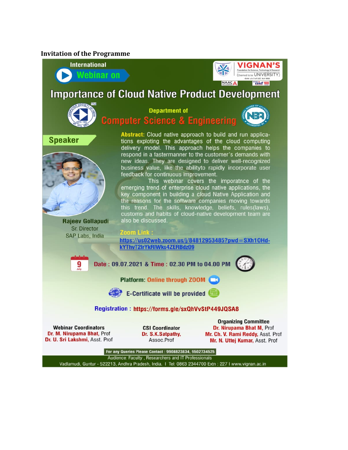#### **Invitation of the Programme**



Vadlamudi, Guntur - 522213, Andhra Pradesh, India. | Tel: 0863 2344700 Extn : 227 I www.vignan.ac.in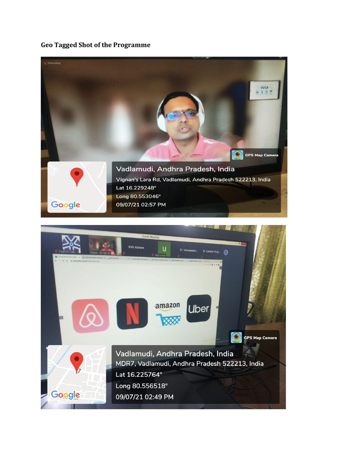### **Geo Tagged Shot of the Programme**